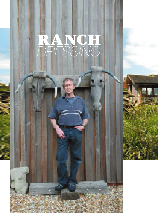# RANCH *DRESSING*

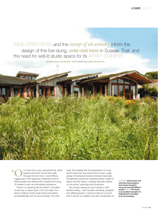coast *HOMES*

## WIDE-OPEN VIEWS and the *sweep of an estuary* inform the design of this low-slung, **cedar-clad home** in Sussex. That, and the need for well-lit studio space for its ARTIST OWNERS

WORDS *Janet McMeekin* PHOTOGRAPHS *Nadia MacKenzie*

ur home has a very special karma, which people sense the minute they walk through the front door,' artist Willow Legge says of the spacious creekside home in West Sussex she shares with husband Ron King. 'It creates a calm and stimulating ambience.' **'**

There's no denying that the artists' innovative house has a unique style. From the water, the tiered rooflines of this cedar-clad home blend sympathetically with its surroundings. From the

road, the building has the appearance of a big, North American, low-slung ranch house. Large panes of hardwood-framed windows have been thoughtfully positioned, enabling shafts of light to dance into the interior, creating dramatic effects on the artists' paintings and sculptures.

The central, spacious room boasts a multifaceted ceiling – with wooden panelling, skylights and differing levels, in parts as high as a church hall. It serves as a gallery and also somewhere for OPPOSITE **Home owner and artist Ron King needed a home large enough to house his and wife Willow's studios** ABOVE **The house is an excellent example of a building that is sensitive to its surroundings**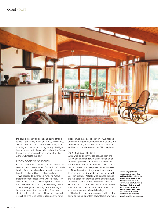

the couple to enjoy an occasional game of table tennis. 'Light is very important to me,' Willow says. 'When I walk out of the bedroom first thing in the morning and the sun is coming through the highlevel windows on to the wooden ceiling, it suffuses this part of the house with an orange glow. It's a wonderful start to the day.'

### From bolthole to home

Ron and Willow, who describe themselves as 'fairweather sailors', first came to Sussex in 1981 while hunting for a coastal weekend retreat to escape from the hustle and bustle of London living.

'We decided to purchase a rundown 1930s thatched cottage close to the water's edge,' Ron says. 'It was in a bad state of repair and views of the creek were obscured by a six-foot-high fence.'

Seventeen years later, they were spending an increasing amount of time working from their studios at the south coast bolthole, and decided it was high time to relocate. Building on their own plot seemed the obvious solution – 'We needed somewhere large enough for both our studios, but couldn't find anywhere else that was affordable and had such a fabulous outlook,' Ron explains.

#### Getting permission

While weekending in the old cottage, Ron and Willow became friends with Brian Hoolahan, an architect specialising in coastal properties. Both felt that Brian was the right man to design a home in which to start the next phase of their busy lives.

'Attractive as the cottage was, it was damp, threatened by the rising tides and far too small for us,' Ron explains. At first it was planned to keep the two garages either side of the original house, which had been modernised and converted into studios, and build a two-storey structure between them, but the plans submitted were turned down, as were subsequent altered drawings.

'The height of any new structure had to be the same as the old one,' Ron says. 'This is an Area of ABOVE **Skylights, tall windows and a wooden ceiling of differing heights cast a warm glow on the living space** OPPOSITE, ABOVE **Ron and Willow like to display their own and other artists' work; the house overlooks a creek**  RIGHT **Willow's sheep sculpture is a favourite perch for visiting pheasants**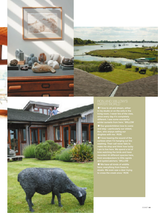



#### RON AND WILLOW'S WATER WORLD

in my studio or on the sofa in the living room. I never tire of the view, since every day it's completely different. I see some wonderful winter sunsets from here.' WILLOW ✹'Our grandchildren love to come and stay – particularly our oldest, Ben, who enjoys sailing our dinghies with me.' RON

✹'I love hearing the sound of the curlews when I'm hanging out the washing. Their call never fails to make me stop and think how lucky I am to live here. We spend a lot of time watching the birds and have recorded 44 different species here, from woodpeckers to little egrets and oystercatchers.' WILLOW

✹'We have all kinds of wildlife here; everything from foxes to stoats. We even saw a deer trying to cross the creek once.' RON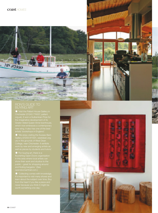**MY 312990** 

#### RON'S GUIDE TO BUYING ART

 $\downdownarrows$  'Visit the Pallant House Gallery in

✹ 'Collecting comes with knowledge.